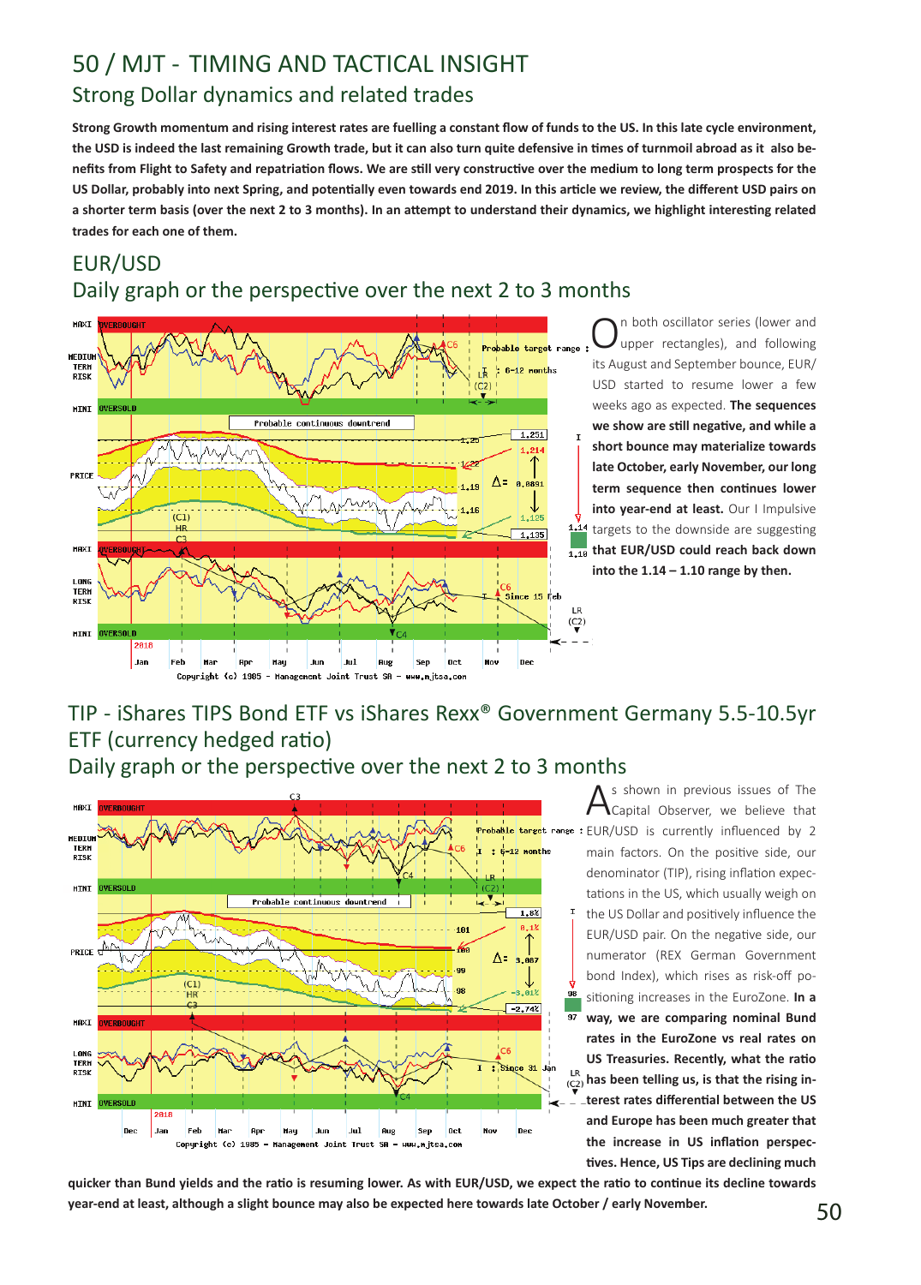# Strong Dollar dynamics and related trades 50 / MJT - TIMING AND TACTICAL INSIGHT

**Strong Growth momentum and rising interest rates are fuelling a constant flow of funds to the US. In this late cycle environment, the USD is indeed the last remaining Growth trade, but it can also turn quite defensive in times of turnmoil abroad as it also benefits from Flight to Safety and repatriation flows. We are still very constructive over the medium to long term prospects for the US Dollar, probably into next Spring, and potentially even towards end 2019. In this article we review, the different USD pairs on a shorter term basis (over the next 2 to 3 months). In an attempt to understand their dynamics, we highlight interesting related trades for each one of them.** 

## EUR/USD Daily graph or the perspective over the next 2 to 3 months



n both oscillator series (lower and upper rectangles), and following its August and September bounce, EUR/ USD started to resume lower a few weeks ago as expected. **The sequences we show are still negative, and while a short bounce may materialize towards late October, early November, our long term sequence then continues lower into year-end at least.** Our I Impulsive 1.14 targets to the downside are suggesting **that EUR/USD could reach back down into the 1.14 – 1.10 range by then.**

## TIP - iShares TIPS Bond ETF vs iShares Rexx® Government Germany 5.5-10.5yr ETF (currency hedged ratio)

Daily graph or the perspective over the next 2 to 3 months



As shown in previous issues of The<br>Capital Observer, we believe that EUR/USD is currently influenced by 2 main factors. On the positive side, our denominator (TIP), rising inflation expectations in the US, which usually weigh on the US Dollar and positively influence the EUR/USD pair. On the negative side, our numerator (REX German Government bond Index), which rises as risk-off positioning increases in the EuroZone. **In a way, we are comparing nominal Bund rates in the EuroZone vs real rates on US Treasuries. Recently, what the ratio has been telling us, is that the rising interest rates differential between the US and Europe has been much greater that the increase in US inflation perspectives. Hence, US Tips are declining much** 

**quicker than Bund yields and the ratio is resuming lower. As with EUR/USD, we expect the ratio to continue its decline towards year-end at least, although a slight bounce may also be expected here towards late October / early November.**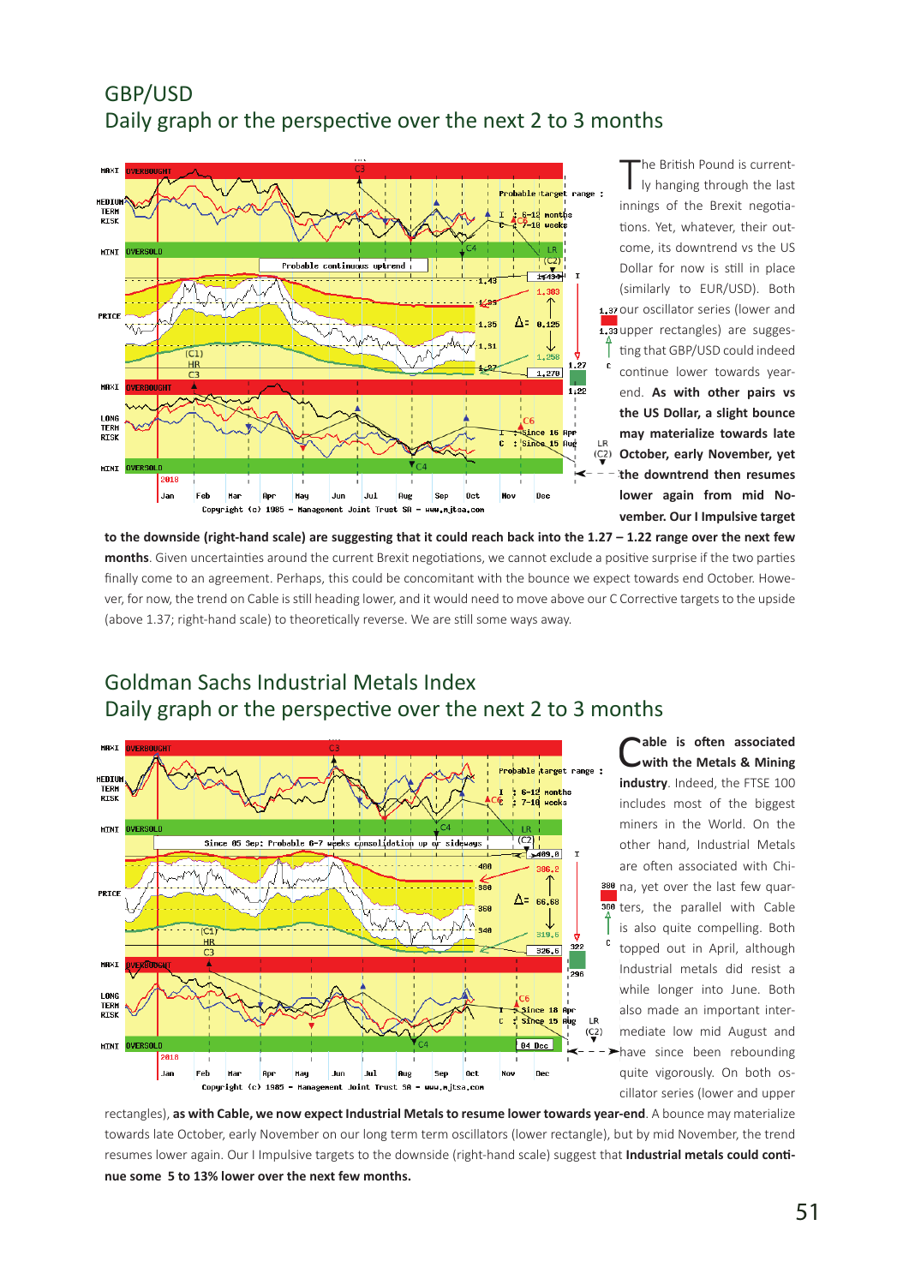## GBP/USD Daily graph or the perspective over the next 2 to 3 months



The British Pound is current-<br>Iy hanging through the last innings of the Brexit negotiations. Yet, whatever, their outcome, its downtrend vs the US Dollar for now is still in place (similarly to EUR/USD). Both 1.37 our oscillator series (lower and 1.33 upper rectangles) are suggesting that GBP/USD could indeed continue lower towards yearend. **As with other pairs vs the US Dollar, a slight bounce may materialize towards late October, early November, yet the downtrend then resumes lower again from mid November. Our I Impulsive target** 

**to the downside (right-hand scale) are suggesting that it could reach back into the 1.27 – 1.22 range over the next few months**. Given uncertainties around the current Brexit negotiations, we cannot exclude a positive surprise if the two parties finally come to an agreement. Perhaps, this could be concomitant with the bounce we expect towards end October. However, for now, the trend on Cable is still heading lower, and it would need to move above our C Corrective targets to the upside (above 1.37; right-hand scale) to theoretically reverse. We are still some ways away.



Goldman Sachs Industrial Metals Index Daily graph or the perspective over the next 2 to 3 months

> able is often associated **with the Metals & Mining industry**. Indeed, the FTSE 100 includes most of the biggest miners in the World. On the other hand, Industrial Metals are often associated with China, yet over the last few quarters, the parallel with Cable is also quite compelling. Both topped out in April, although Industrial metals did resist a while longer into June. Both also made an important intermediate low mid August and have since been rebounding quite vigorously. On both oscillator series (lower and upper

rectangles), **as with Cable, we now expect Industrial Metals to resume lower towards year-end**. A bounce may materialize towards late October, early November on our long term term oscillators (lower rectangle), but by mid November, the trend resumes lower again. Our I Impulsive targets to the downside (right-hand scale) suggest that **Industrial metals could continue some 5 to 13% lower over the next few months.**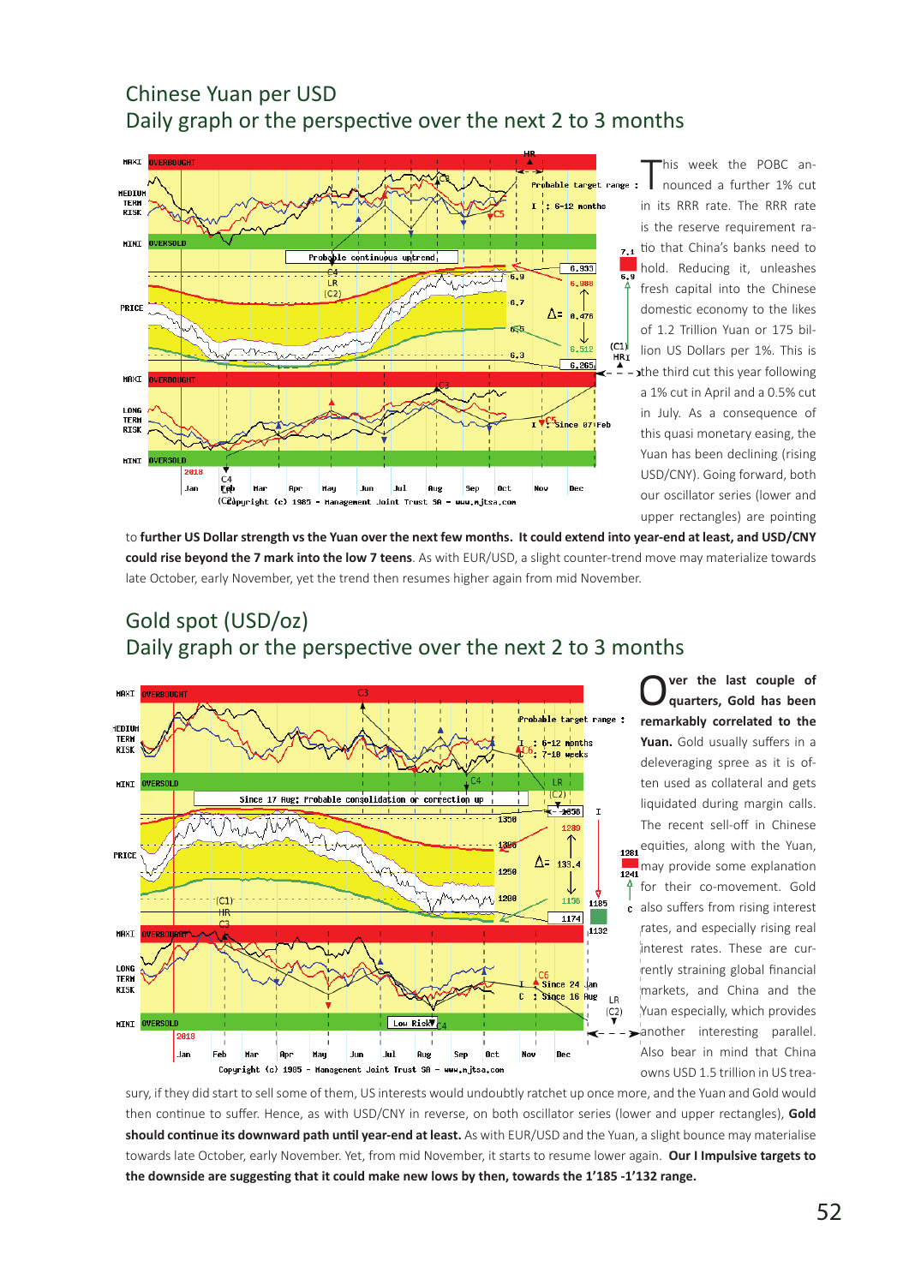#### Chinese Yuan per USD Daily graph or the perspective over the next 2 to 3 months



This week the POBC an-<br>nounced a further 1% cut in its RRR rate. The RRR rate is the reserve requirement ratio that China's banks need to hold. Reducing it, unleashes fresh capital into the Chinese domestic economy to the likes of 1.2 Trillion Yuan or 175 billion US Dollars per 1%. This is the third cut this year following a 1% cut in April and a 0.5% cut in July. As a consequence of this quasi monetary easing, the Yuan has been declining (rising USD/CNY). Going forward, both our oscillator series (lower and upper rectangles) are pointing

to **further US Dollar strength vs the Yuan over the next few months. It could extend into year-end at least, and USD/CNY could rise beyond the 7 mark into the low 7 teens**. As with EUR/USD, a slight counter-trend move may materialize towards late October, early November, yet the trend then resumes higher again from mid November.

## Gold spot (USD/oz) Daily graph or the perspective over the next 2 to 3 months



O**ver the last couple of quarters, Gold has been remarkably correlated to the Yuan.** Gold usually suffers in a deleveraging spree as it is often used as collateral and gets liquidated during margin calls. The recent sell-off in Chinese equities, along with the Yuan, may provide some explanation for their co-movement. Gold also suffers from rising interest c rates, and especially rising real interest rates. These are currently straining global financial markets, and China and the Yuan especially, which provides another interesting parallel. Also bear in mind that China owns USD 1.5 trillion in US trea-

sury, if they did start to sell some of them, US interests would undoubtly ratchet up once more, and the Yuan and Gold would then continue to suffer. Hence, as with USD/CNY in reverse, on both oscillator series (lower and upper rectangles), **Gold should continue its downward path until year-end at least.** As with EUR/USD and the Yuan, a slight bounce may materialise towards late October, early November. Yet, from mid November, it starts to resume lower again. **Our I Impulsive targets to the downside are suggesting that it could make new lows by then, towards the 1'185 -1'132 range.**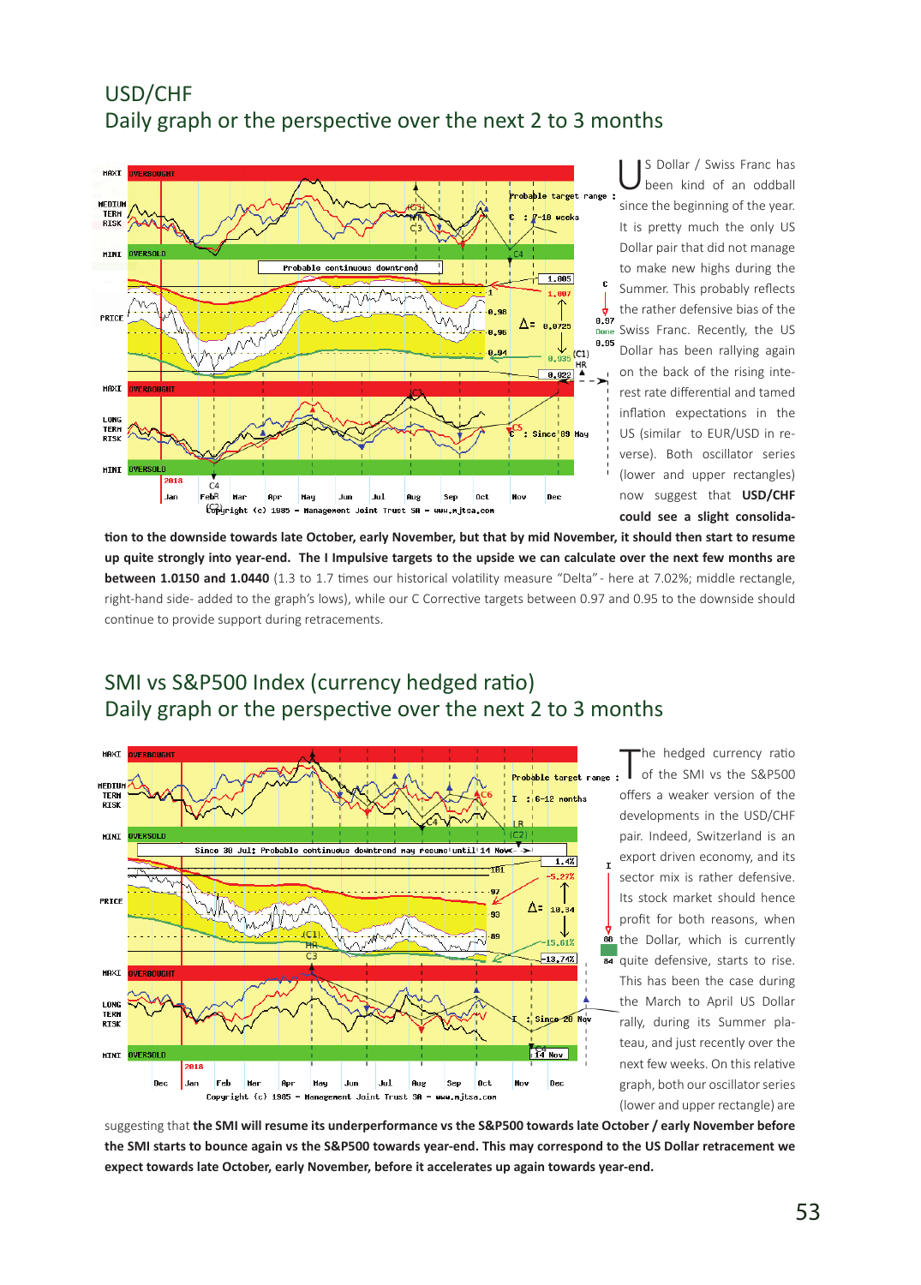## USD/CHF Daily graph or the perspective over the next 2 to 3 months



US Dollar / Swiss Franc has been kind of an oddball since the beginning of the year. It is pretty much the only US Dollar pair that did not manage to make new highs during the Summer. This probably reflects the rather defensive bias of the Swiss Franc. Recently, the US Dollar has been rallying again on the back of the rising interest rate differential and tamed inflation expectations in the US (similar to EUR/USD in reverse). Both oscillator series (lower and upper rectangles) now suggest that **USD/CHF could see a slight consolida-**

**tion to the downside towards late October, early November, but that by mid November, it should then start to resume up quite strongly into year-end. The I Impulsive targets to the upside we can calculate over the next few months are between 1.0150 and 1.0440** (1.3 to 1.7 times our historical volatility measure "Delta" - here at 7.02%; middle rectangle, right-hand side- added to the graph's lows), while our C Corrective targets between 0.97 and 0.95 to the downside should continue to provide support during retracements.



SMI vs S&P500 Index (currency hedged ratio) Daily graph or the perspective over the next 2 to 3 months

> The hedged currency ratio<br>
> of the SMI vs the S&P500 offers a weaker version of the developments in the USD/CHF pair. Indeed, Switzerland is an export driven economy, and its sector mix is rather defensive. Its stock market should hence profit for both reasons, when **88** the Dollar, which is currently quite defensive, starts to rise. This has been the case during the March to April US Dollar rally, during its Summer plateau, and just recently over the next few weeks. On this relative graph, both our oscillator series (lower and upper rectangle) are

suggesting that **the SMI will resume its underperformance vs the S&P500 towards late October / early November before the SMI starts to bounce again vs the S&P500 towards year-end. This may correspond to the US Dollar retracement we expect towards late October, early November, before it accelerates up again towards year-end.**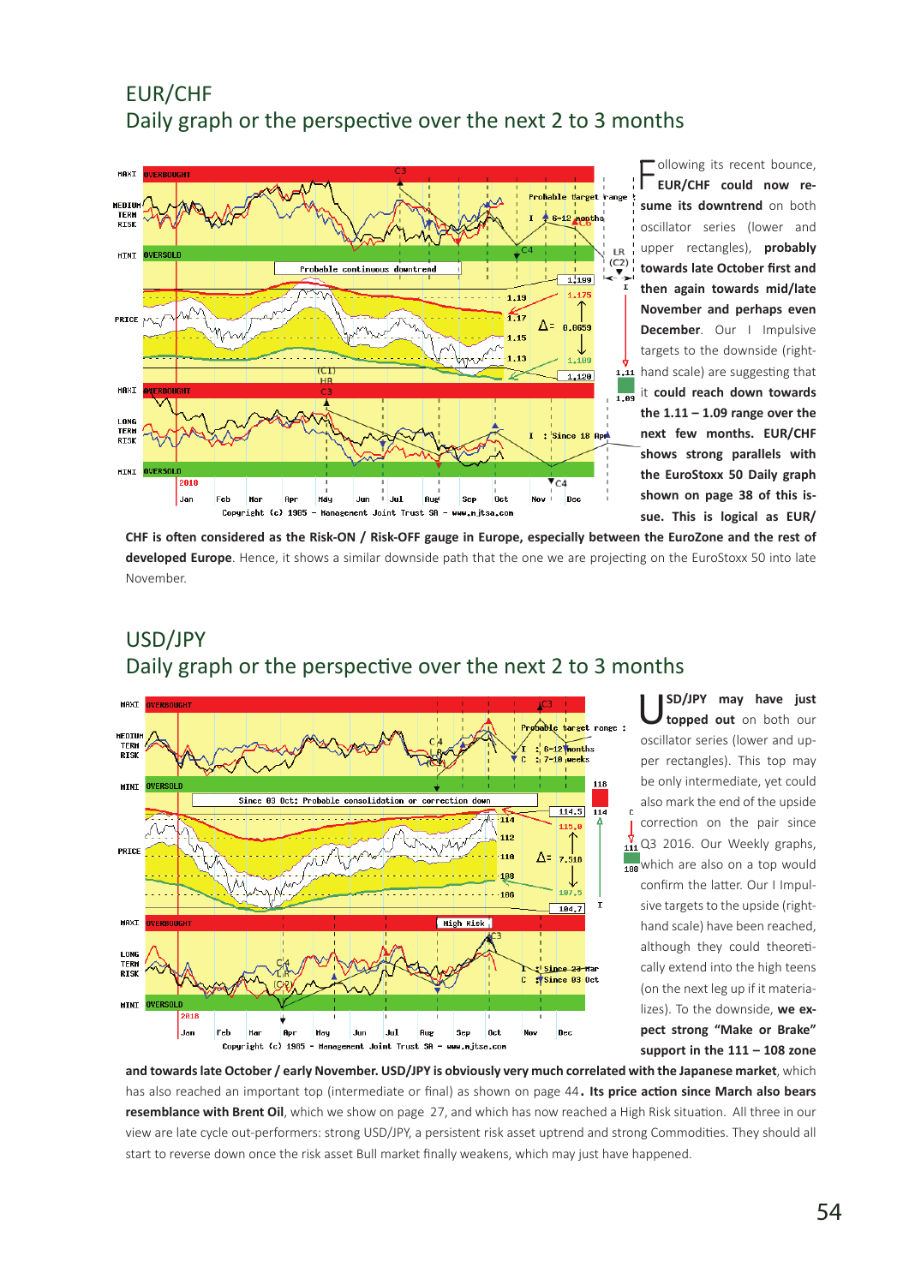## EUR/CHF Daily graph or the perspective over the next 2 to 3 months



Following its recent bounce,<br>**FUR/CHF** could now re**sume its downtrend** on both oscillator series (lower and upper rectangles), **probably towards late October first and then again towards mid/late November and perhaps even December**. Our I Impulsive targets to the downside (right-1.11 hand scale) are suggesting that it **could reach down towards the 1.11 – 1.09 range over the next few months. EUR/CHF shows strong parallels with the EuroStoxx 50 Daily graph shown on page 38 of this issue. This is logical as EUR/**

**CHF is often considered as the Risk-ON / Risk-OFF gauge in Europe, especially between the EuroZone and the rest of developed Europe**. Hence, it shows a similar downside path that the one we are projecting on the EuroStoxx 50 into late November.





U**SD/JPY may have just topped out** on both our oscillator series (lower and upper rectangles). This top may be only intermediate, yet could also mark the end of the upside correction on the pair since  $\frac{V}{111}$  Q3 2016. Our Weekly graphs, which are also on a top would confirm the latter. Our I Impulsive targets to the upside (righthand scale) have been reached, although they could theoretically extend into the high teens (on the next leg up if it materializes). To the downside, **we expect strong "Make or Brake" support in the 111 – 108 zone** 

**and towards late October / early November. USD/JPY is obviously very much correlated with the Japanese market**, which has also reached an important top (intermediate or final) as shown on page 44. **Its price action since March also bears resemblance with Brent Oil**, which we show on page 27, and which has now reached a High Risk situation. All three in our view are late cycle out-performers: strong USD/JPY, a persistent risk asset uptrend and strong Commodities. They should all start to reverse down once the risk asset Bull market finally weakens, which may just have happened.